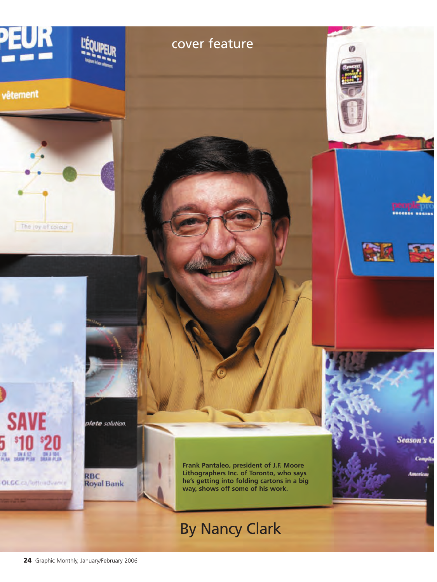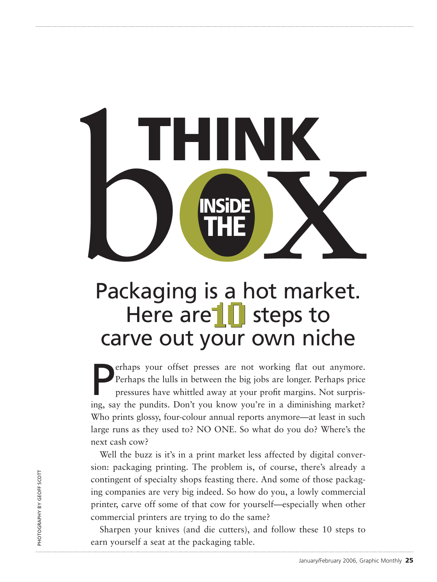# Packaging is a hot market. **THE**<br> **THE**<br> **THE**<br> **THE**<br> **THE**<br> **THE**<br> **THE**<br> **THE**<br> **THE**<br> **THE**<br> **THE**<br> **THE**<br> **THE**<br> **THE**<br> **THE**<br> **THE THINK**

# Here are | steps to carve out your own niche

**EXECUTE:** Perhaps your offset presses are not working flat out anymore. Perhaps the lulls in between the big jobs are longer. Perhaps price pressures have whittled away at your profit margins. Not surprising, say the pund erhaps your offset presses are not working flat out anymore. Perhaps the lulls in between the big jobs are longer. Perhaps price pressures have whittled away at your profit margins. Not surpris-Who prints glossy, four-colour annual reports anymore—at least in such large runs as they used to? NO ONE. So what do you do? Where's the next cash cow?

Well the buzz is it's in a print market less affected by digital conversion: packaging printing. The problem is, of course, there's already a contingent of specialty shops feasting there. And some of those packaging companies are very big indeed. So how do you, a lowly commercial printer, carve off some of that cow for yourself—especially when other commercial printers are trying to do the same?

Sharpen your knives (and die cutters), and follow these 10 steps to earn yourself a seat at the packaging table.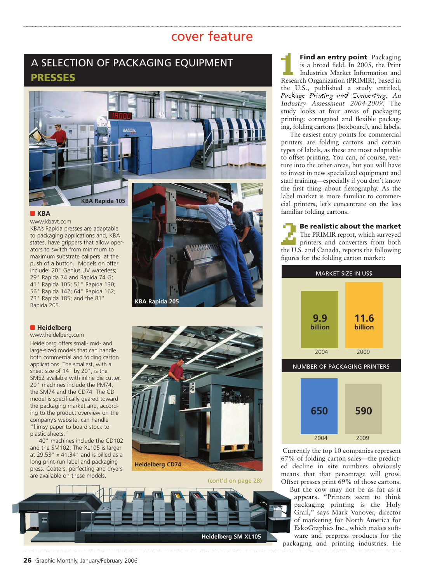# A SELECTION OF PACKAGING EQUIPMENT **PRESSES**



#### **■ KBA**

www.kbavt.com KBA's Rapida presses are adaptable to packaging applications and, KBA states, have grippers that allow operators to switch from minimum to maximum substrate calipers at the push of a button. Models on offer include: 20" Genius UV waterless; 29" Rapida 74 and Rapida 74 G; 41" Rapida 105; 51" Rapida 130; 56" Rapida 142; 64" Rapida 162; 73" Rapida 185; and the 81" Rapida 205.

#### **■ Heidelberg**

www.heidelberg.com Heidelberg offers small- mid- and large-sized models that can handle both commercial and folding carton applications. The smallest, with a sheet size of 14" by 20", is the SM52 available with inline die cutter. 29" machines include the PM74, the SM74 and the CD74. The CD model is specifically geared toward the packaging market and, according to the product overview on the company's website, can handle "flimsy paper to board stock to plastic sheets."

40" machines include the CD102 and the SM102. The XL105 is larger at 29.53" x 41.34" and is billed as a long print-run label and packaging press. Coaters, perfecting and dryers are available on these models.

**KBA Rapida 205**



(cont'd on page 28)



**Find an entry point** Packaging is a broad field. In 2005, the Print Industries Market Information and Research Organization (PRIMIR), based in the U.S., published a study entitled, Package Printing and Converting, An Industry Assessment 2004-2009. The study looks at four areas of packaging printing: corrugated and flexible packaging, folding cartons (boxboard), and labels.

The easiest entry points for commercial printers are folding cartons and certain types of labels, as these are most adaptable to offset printing. You can, of course, venture into the other areas, but you will have to invest in new specialized equipment and staff training—especially if you don't know the first thing about flexography. As the label market is more familiar to commercial printers, let's concentrate on the less familiar folding cartons.

2 **Be realistic about the market** The PRIMIR report, which surveyed printers and converters from both the U.S. and Canada, reports the following figures for the folding carton market:



NUMBER OF PACKAGING PRINTERS



Currently the top 10 companies represent 67% of folding carton sales—the predicted decline in site numbers obviously means that that percentage will grow. Offset presses print 69% of those cartons.

But the cow may not be as fat as it appears. "Printers seem to think packaging printing is the Holy Grail," says Mark Vanover, director of marketing for North America for EskoGraphics Inc., which makes software and prepress products for the packaging and printing industries. He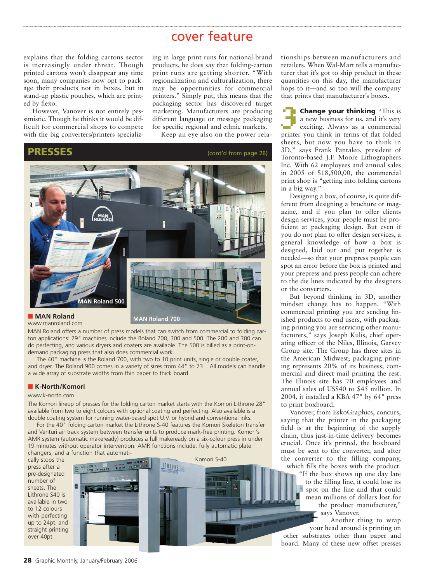explains that the folding cartons sector is increasingly under threat. Though printed cartons won't disappear any time soon, many companies now opt to package their products not in boxes, but in stand-up plastic pouches, which are printed by flexo.

However, Vanover is not entirely pessimistic. Though he thinks it would be difficult for commercial shops to compete with the big converters/printers specializing in large print runs for national brand products, he does say that folding-carton print runs are getting shorter. "With regionalization and culturalization, there may be opportunities for commercial printers." Simply put, this means that the packaging sector has discovered target marketing. Manufacturers are producing different language or message packaging for specific regional and ethnic markets.

Keep an eye also on the power rela-



www.manroland.com

MAN Roland offers a number of press models that can switch from commercial to folding carton applications: 29" machines include the Roland 200, 300 and 500. The 200 and 300 can do perfecting, and various dryers and coaters are available. The 500 is billed as a print-ondemand packaging press that also does commercial work.

The 40" machine is the Roland 700, with two to 10 print units, single or double coater, and dryer. The Roland 900 comes in a variety of sizes from 44" to 73". All models can handle a wide array of substrate widths from thin paper to thick board.

#### **■ K-North/Komori**

#### www.k-north.com

The Komori lineup of presses for the folding carton market starts with the Komori Lithrone 28" available from two to eight colours with optional coating and perfecting. Also available is a double coating system for running water-based spot U.V. or hybrid and conventional inks.

For the 40" folding carton market the Lithrone S-40 features the Komori Skeleton transfer and Venturi air track system between transfer units to produce mark-free printing. Komori's AMR system (automatic makeready) produces a full makeready on a six-colour press in under 19 minutes without operator intervention. AMR functions include: fully automatic plate changers, and a function that automati-

cally stops the press after a pre-designated number of sheets. The Lithrone S40 is available in two to 12 colours with perfecting up to 24pt. and straight printing over 40pt.



tionships between manufacturers and retailers. When Wal-Mart tells a manufacturer that it's got to ship product in these quantities on this day, the manufacturer hops to it—and so too will the company that prints that manufacturer's boxes.

**Change your thinking "This is** a new business for us, and it's very exciting. Always as a commercial printer you think in terms of flat folded sheets, but now you have to think in 3D," says Frank Pantaleo, president of Toronto-based J.F. Moore Lithographers Inc. With 62 employees and annual sales in 2005 of \$18,500,00, the commercial print shop is "getting into folding cartons in a big way."

Designing a box, of course, is quite different from designing a brochure or magazine, and if you plan to offer clients design services, your people must be proficient at packaging design. But even if you do not plan to offer design services, a general knowledge of how a box is designed, laid out and put together is needed—so that your prepress people can spot an error before the box is printed and your prepress and press people can adhere to the die lines indicated by the designers or the converters.

But beyond thinking in 3D, another mindset change has to happen. "With commercial printing you are sending finished products to end users, with packaging printing you are servicing other manufacturers," says Joseph Kulis, chief operating officer of the Niles, Illinois, Garvey Group site. The Group has three sites in the American Midwest; packaging printing represents 20% of its business; commercial and direct mail printing the rest. The Illinois site has  $70$  employees and annual sales of US\$40 to \$45 million. In 2004, it installed a KBA 47" by 64" press to print boxboard.

Vanover, from EskoGraphics, concurs, saying that the printer in the packaging field is at the beginning of the supply chain, thus just-in-time delivery becomes crucial. Once it's printed, the boxboard must be sent to the converter, and after the converter to the filling company, which fills the boxes with the product.

"If the box shows up one day late to the filling line, it could lose its spot on the line and that could mean millions of dollars lost for the product manufacturer," says Vanover.

Another thing to wrap your head around is printing on other substrates other than paper and board. Many of these new offset presses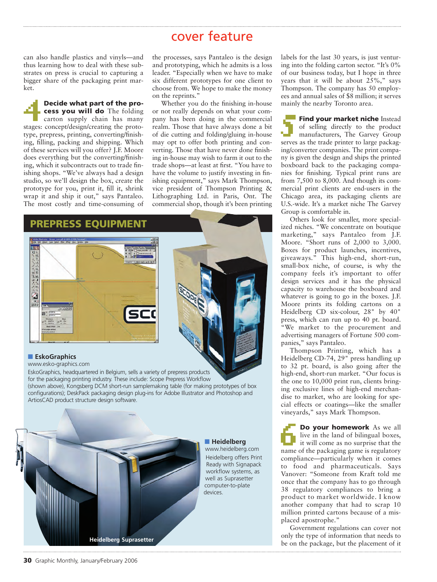can also handle plastics and vinyls—and thus learning how to deal with these substrates on press is crucial to capturing a bigger share of the packaging print market.

#### 4 **Decide what part of the process you will do** The folding

carton supply chain has many stages: concept/design/creating the prototype, prepress, printing, converting/finishing, filling, packing and shipping. Which of these services will you offer? J.F. Moore does everything but the converting/finishing, which it subcontracts out to trade finishing shops. "We've always had a design studio, so we'll design the box, create the prototype for you, print it, fill it, shrink wrap it and ship it out," says Pantaleo. The most costly and time-consuming of

the processes, says Pantaleo is the design and prototyping, which he admits is a loss leader. "Especially when we have to make six different prototypes for one client to choose from. We hope to make the money on the reprints."

Whether you do the finishing in-house or not really depends on what your company has been doing in the commercial realm. Those that have always done a bit of die cutting and folding/gluing in-house may opt to offer both printing and converting. Those that have never done finishing in-house may wish to farm it out to the trade shops—at least at first. "You have to have the volume to justify investing in finishing equipment," says Mark Thompson, vice president of Thompson Printing & Lithographing Ltd. in Paris, Ont. The commercial shop, though it's been printing



**Heidelberg Suprasetter**

labels for the last 30 years, is just venturing into the folding carton sector. "It's 0% of our business today, but I hope in three years that it will be about  $25\%$ ," says Thompson. The company has 50 employees and annual sales of \$8 million; it serves mainly the nearby Toronto area.

5**Find your market niche** Instead of selling directly to the product manufacturers, The Garvey Group serves as the trade printer to large packaging/converter companies. The print company is given the design and ships the printed boxboard back to the packaging companies for finishing. Typical print runs are from 7,500 to 8,000. And though its commercial print clients are end-users in the Chicago area, its packaging clients are U.S.-wide. It's a market niche The Garvey Group is comfortable in.

Others look for smaller, more specialized niches. "We concentrate on boutique marketing," says Pantaleo from J.F. Moore. "Short runs of 2,000 to 3,000. Boxes for product launches, incentives, giveaways." This high-end, short-run, small-box niche, of course, is why the company feels it's important to offer design services and it has the physical capacity to warehouse the boxboard and whatever is going to go in the boxes. J.F. Moore prints its folding cartons on a Heidelberg CD six-colour, 28" by 40" press, which can run up to 40 pt. board. "We market to the procurement and advertising managers of Fortune 500 companies," says Pantaleo.

Thompson Printing, which has a Heidelberg CD-74, 29" press handling up to 32 pt. board, is also going after the high-end, short-run market. "Our focus is the one to 10,000 print run, clients bringing exclusive lines of high-end merchandise to market, who are looking for special effects or coatings—like the smaller vineyards," says Mark Thompson.

**Do your homework** As we all live in the land of bilingual boxes, it will come as no surprise that the name of the packaging game is regulatory compliance—particularly when it comes to food and pharmaceuticals. Says Vanover: "Someone from Kraft told me once that the company has to go through 38 regulatory compliances to bring a product to market worldwide. I know another company that had to scrap 10 million printed cartons because of a misplaced apostrophe."

Government regulations can cover not only the type of information that needs to be on the package, but the placement of it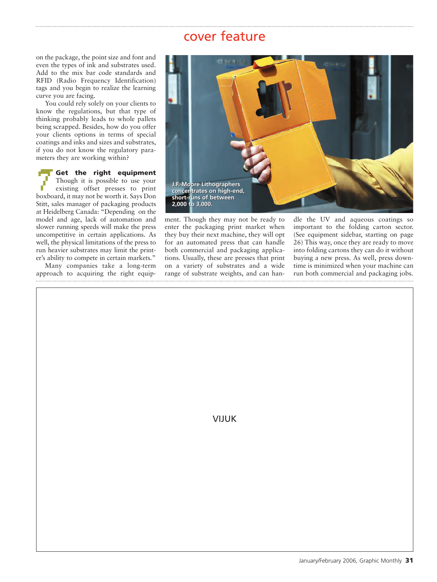on the package, the point size and font and even the types of ink and substrates used. Add to the mix bar code standards and RFID (Radio Frequency Identification) tags and you begin to realize the learning curve you are facing.

You could rely solely on your clients to know the regulations, but that type of thinking probably leads to whole pallets being scrapped. Besides, how do you offer your clients options in terms of special coatings and inks and sizes and substrates, if you do not know the regulatory parameters they are working within?

**Face of the right equipment**<br>Though it is possible to use your<br>existing offset presses to print Though it is possible to use your existing offset presses to print boxboard, it may not be worth it. Says Don Stitt, sales manager of packaging products at Heidelberg Canada: "Depending on the model and age, lack of automation and slower running speeds will make the press uncompetitive in certain applications. As well, the physical limitations of the press to run heavier substrates may limit the printer's ability to compete in certain markets."

Many companies take a long-term approach to acquiring the right equip-



ment. Though they may not be ready to enter the packaging print market when they buy their next machine, they will opt for an automated press that can handle both commercial and packaging applications. Usually, these are presses that print on a variety of substrates and a wide range of substrate weights, and can handle the UV and aqueous coatings so important to the folding carton sector. (See equipment sidebar, starting on page 26) This way, once they are ready to move into folding cartons they can do it without buying a new press. As well, press downtime is minimized when your machine can run both commercial and packaging jobs.

VIJUK